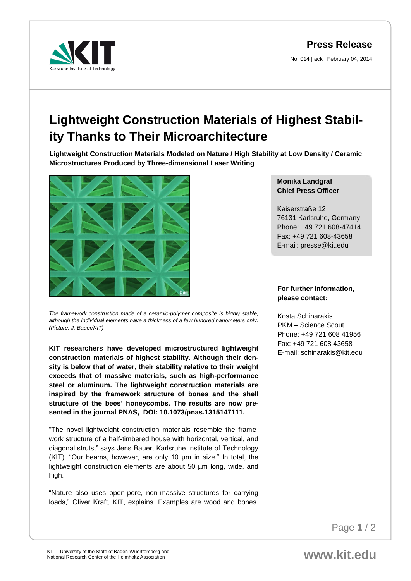**Press Release**

No. 014 | ack | February 04, 2014



## **Lightweight Construction Materials of Highest Stability Thanks to Their Microarchitecture**

**Lightweight Construction Materials Modeled on Nature / High Stability at Low Density / Ceramic Microstructures Produced by Three-dimensional Laser Writing**



*The framework construction made of a ceramic-polymer composite is highly stable, although the individual elements have a thickness of a few hundred nanometers only. (Picture: J. Bauer/KIT)*

**KIT researchers have developed microstructured lightweight construction materials of highest stability. Although their density is below that of water, their stability relative to their weight exceeds that of massive materials, such as high-performance steel or aluminum. The lightweight construction materials are inspired by the framework structure of bones and the shell structure of the bees' honeycombs. The results are now presented in the journal PNAS, DOI: 10.1073/pnas.1315147111.**

"The novel lightweight construction materials resemble the framework structure of a half-timbered house with horizontal, vertical, and diagonal struts," says Jens Bauer, Karlsruhe Institute of Technology (KIT). "Our beams, however, are only 10 µm in size." In total, the lightweight construction elements are about 50 µm long, wide, and high.

"Nature also uses open-pore, non-massive structures for carrying loads," Oliver Kraft, KIT, explains. Examples are wood and bones.

## **Monika Landgraf Chief Press Officer**

Kaiserstraße 12 76131 Karlsruhe, Germany Phone: +49 721 608-47414 Fax: +49 721 608-43658 E-mail: presse@kit.edu

## **For further information, please contact:**

Kosta Schinarakis PKM – Science Scout Phone: +49 721 608 41956 Fax: +49 721 608 43658 E-mail: schinarakis@kit.edu